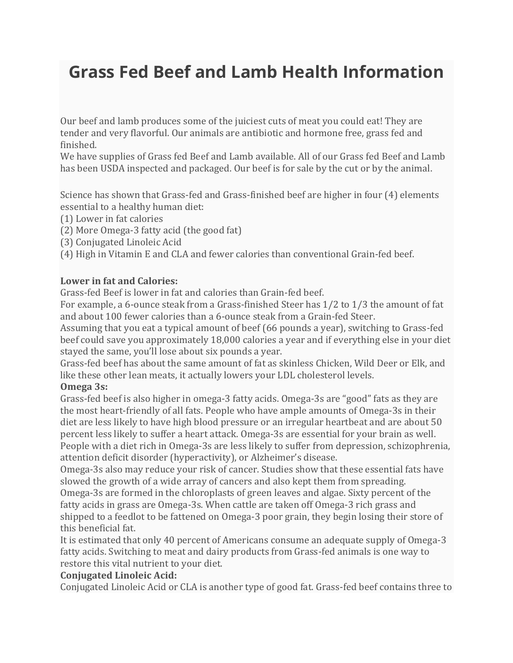# **Grass Fed Beef and Lamb Health Information**

Our beef and lamb produces some of the juiciest cuts of meat you could eat! They are tender and very flavorful. Our animals are antibiotic and hormone free, grass fed and finished.

We have supplies of Grass fed Beef and Lamb available. All of our Grass fed Beef and Lamb has been USDA inspected and packaged. Our beef is for sale by the cut or by the animal.

Science has shown that Grass-fed and Grass-finished beef are higher in four (4) elements essential to a healthy human diet:

(1) Lower in fat calories

(2) More Omega-3 fatty acid (the good fat)

(3) Conjugated Linoleic Acid

(4) High in Vitamin E and CLA and fewer calories than conventional Grain-fed beef.

#### **Lower in fat and Calories:**

Grass-fed Beef is lower in fat and calories than Grain-fed beef.

For example, a 6-ounce steak from a Grass-finished Steer has 1/2 to 1/3 the amount of fat and about 100 fewer calories than a 6-ounce steak from a Grain-fed Steer.

Assuming that you eat a typical amount of beef (66 pounds a year), switching to Grass-fed beef could save you approximately 18,000 calories a year and if everything else in your diet stayed the same, you'll lose about six pounds a year.

Grass-fed beef has about the same amount of fat as skinless Chicken, Wild Deer or Elk, and like these other lean meats, it actually lowers your LDL cholesterol levels.

#### **Omega 3s:**

Grass-fed beef is also higher in omega-3 fatty acids. Omega-3s are "good" fats as they are the most heart-friendly of all fats. People who have ample amounts of Omega-3s in their diet are less likely to have high blood pressure or an irregular heartbeat and are about 50 percent less likely to suffer a heart attack. Omega-3s are essential for your brain as well. People with a diet rich in Omega-3s are less likely to suffer from depression, schizophrenia, attention deficit disorder (hyperactivity), or Alzheimer's disease.

Omega-3s also may reduce your risk of cancer. Studies show that these essential fats have slowed the growth of a wide array of cancers and also kept them from spreading. Omega-3s are formed in the chloroplasts of green leaves and algae. Sixty percent of the fatty acids in grass are Omega-3s. When cattle are taken off Omega-3 rich grass and shipped to a feedlot to be fattened on Omega-3 poor grain, they begin losing their store of this beneficial fat.

It is estimated that only 40 percent of Americans consume an adequate supply of Omega-3 fatty acids. Switching to meat and dairy products from Grass-fed animals is one way to restore this vital nutrient to your diet.

### **Conjugated Linoleic Acid:**

Conjugated Linoleic Acid or CLA is another type of good fat. Grass-fed beef contains three to